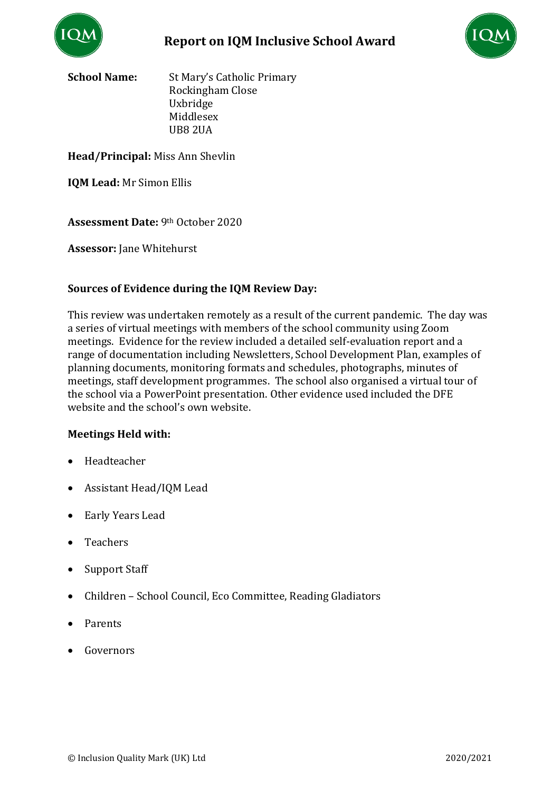



**School Name:** St Mary's Catholic Primary Rockingham Close Uxbridge Middlesex UB8 2UA

### **Head/Principal:** Miss Ann Shevlin

**IQM Lead:** Mr Simon Ellis

**Assessment Date:** 9th October 2020

**Assessor:** Jane Whitehurst

## **Sources of Evidence during the IQM Review Day:**

This review was undertaken remotely as a result of the current pandemic. The day was a series of virtual meetings with members of the school community using Zoom meetings. Evidence for the review included a detailed self-evaluation report and a range of documentation including Newsletters, School Development Plan, examples of planning documents, monitoring formats and schedules, photographs, minutes of meetings, staff development programmes. The school also organised a virtual tour of the school via a PowerPoint presentation. Other evidence used included the DFE website and the school's own website.

### **Meetings Held with:**

- Headteacher
- Assistant Head/IQM Lead
- Early Years Lead
- Teachers
- Support Staff
- Children School Council, Eco Committee, Reading Gladiators
- Parents
- Governors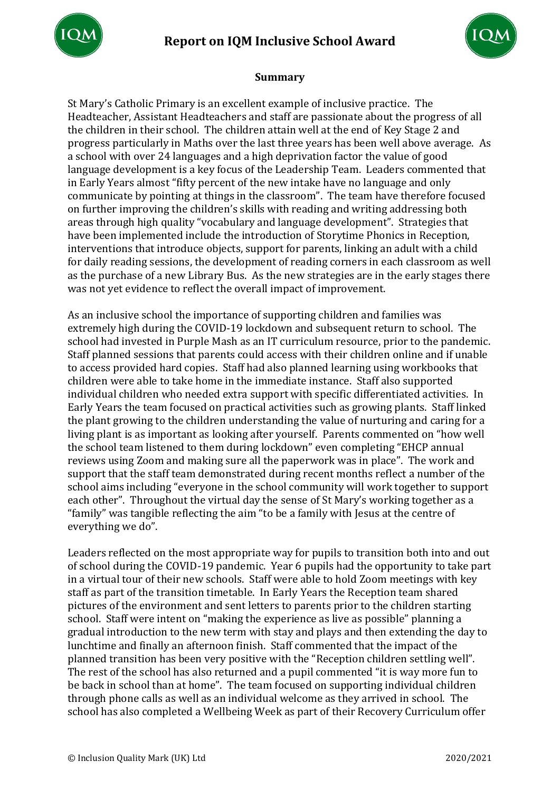# **Report on IQM Inclusive School Award**





### **Summary**

St Mary's Catholic Primary is an excellent example of inclusive practice. The Headteacher, Assistant Headteachers and staff are passionate about the progress of all the children in their school. The children attain well at the end of Key Stage 2 and progress particularly in Maths over the last three years has been well above average. As a school with over 24 languages and a high deprivation factor the value of good language development is a key focus of the Leadership Team. Leaders commented that in Early Years almost "fifty percent of the new intake have no language and only communicate by pointing at things in the classroom". The team have therefore focused on further improving the children's skills with reading and writing addressing both areas through high quality "vocabulary and language development". Strategies that have been implemented include the introduction of Storytime Phonics in Reception, interventions that introduce objects, support for parents, linking an adult with a child for daily reading sessions, the development of reading corners in each classroom as well as the purchase of a new Library Bus. As the new strategies are in the early stages there was not yet evidence to reflect the overall impact of improvement.

As an inclusive school the importance of supporting children and families was extremely high during the COVID-19 lockdown and subsequent return to school. The school had invested in Purple Mash as an IT curriculum resource, prior to the pandemic. Staff planned sessions that parents could access with their children online and if unable to access provided hard copies. Staff had also planned learning using workbooks that children were able to take home in the immediate instance. Staff also supported individual children who needed extra support with specific differentiated activities. In Early Years the team focused on practical activities such as growing plants. Staff linked the plant growing to the children understanding the value of nurturing and caring for a living plant is as important as looking after yourself. Parents commented on "how well the school team listened to them during lockdown" even completing "EHCP annual reviews using Zoom and making sure all the paperwork was in place". The work and support that the staff team demonstrated during recent months reflect a number of the school aims including "everyone in the school community will work together to support each other". Throughout the virtual day the sense of St Mary's working together as a "family" was tangible reflecting the aim "to be a family with Jesus at the centre of everything we do".

Leaders reflected on the most appropriate way for pupils to transition both into and out of school during the COVID-19 pandemic. Year 6 pupils had the opportunity to take part in a virtual tour of their new schools. Staff were able to hold Zoom meetings with key staff as part of the transition timetable. In Early Years the Reception team shared pictures of the environment and sent letters to parents prior to the children starting school. Staff were intent on "making the experience as live as possible" planning a gradual introduction to the new term with stay and plays and then extending the day to lunchtime and finally an afternoon finish. Staff commented that the impact of the planned transition has been very positive with the "Reception children settling well". The rest of the school has also returned and a pupil commented "it is way more fun to be back in school than at home". The team focused on supporting individual children through phone calls as well as an individual welcome as they arrived in school. The school has also completed a Wellbeing Week as part of their Recovery Curriculum offer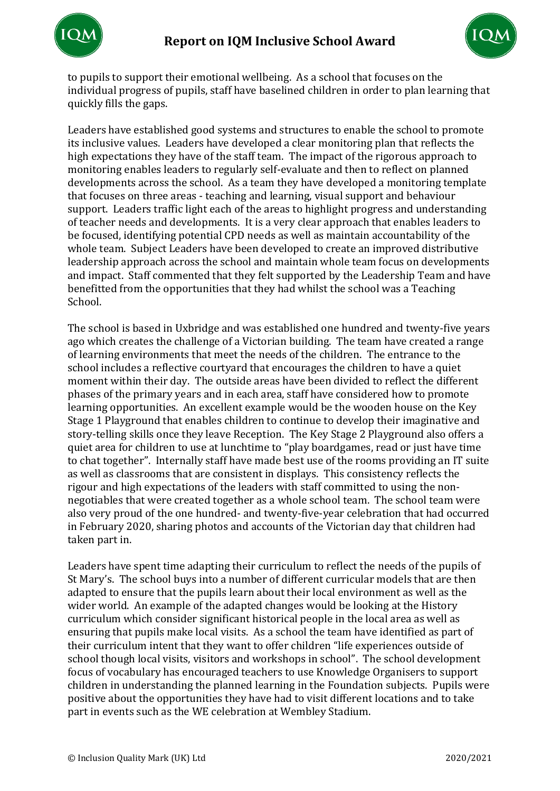



to pupils to support their emotional wellbeing. As a school that focuses on the individual progress of pupils, staff have baselined children in order to plan learning that quickly fills the gaps.

Leaders have established good systems and structures to enable the school to promote its inclusive values. Leaders have developed a clear monitoring plan that reflects the high expectations they have of the staff team. The impact of the rigorous approach to monitoring enables leaders to regularly self-evaluate and then to reflect on planned developments across the school. As a team they have developed a monitoring template that focuses on three areas - teaching and learning, visual support and behaviour support. Leaders traffic light each of the areas to highlight progress and understanding of teacher needs and developments. It is a very clear approach that enables leaders to be focused, identifying potential CPD needs as well as maintain accountability of the whole team. Subject Leaders have been developed to create an improved distributive leadership approach across the school and maintain whole team focus on developments and impact. Staff commented that they felt supported by the Leadership Team and have benefitted from the opportunities that they had whilst the school was a Teaching School.

The school is based in Uxbridge and was established one hundred and twenty-five years ago which creates the challenge of a Victorian building. The team have created a range of learning environments that meet the needs of the children. The entrance to the school includes a reflective courtyard that encourages the children to have a quiet moment within their day. The outside areas have been divided to reflect the different phases of the primary years and in each area, staff have considered how to promote learning opportunities. An excellent example would be the wooden house on the Key Stage 1 Playground that enables children to continue to develop their imaginative and story-telling skills once they leave Reception. The Key Stage 2 Playground also offers a quiet area for children to use at lunchtime to "play boardgames, read or just have time to chat together". Internally staff have made best use of the rooms providing an IT suite as well as classrooms that are consistent in displays. This consistency reflects the rigour and high expectations of the leaders with staff committed to using the nonnegotiables that were created together as a whole school team. The school team were also very proud of the one hundred- and twenty-five-year celebration that had occurred in February 2020, sharing photos and accounts of the Victorian day that children had taken part in.

Leaders have spent time adapting their curriculum to reflect the needs of the pupils of St Mary's. The school buys into a number of different curricular models that are then adapted to ensure that the pupils learn about their local environment as well as the wider world. An example of the adapted changes would be looking at the History curriculum which consider significant historical people in the local area as well as ensuring that pupils make local visits. As a school the team have identified as part of their curriculum intent that they want to offer children "life experiences outside of school though local visits, visitors and workshops in school". The school development focus of vocabulary has encouraged teachers to use Knowledge Organisers to support children in understanding the planned learning in the Foundation subjects. Pupils were positive about the opportunities they have had to visit different locations and to take part in events such as the WE celebration at Wembley Stadium.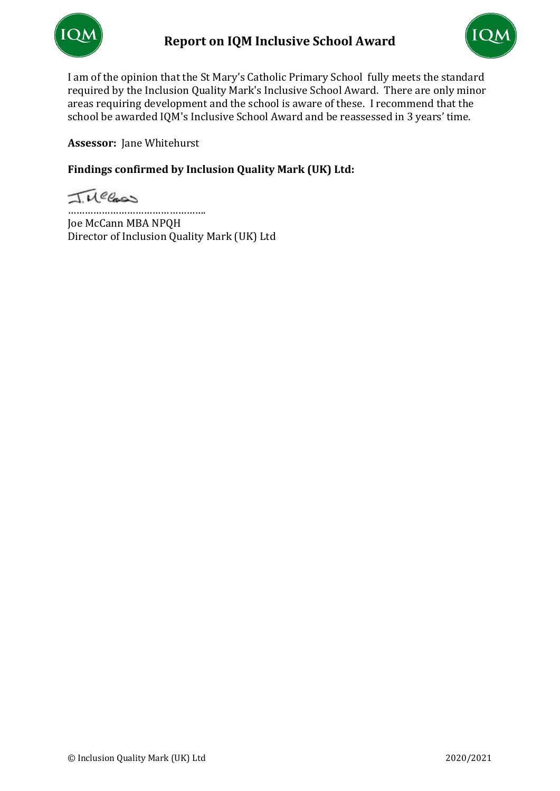



I am of the opinion that the St Mary's Catholic Primary School fully meets the standard required by the Inclusion Quality Mark's Inclusive School Award. There are only minor areas requiring development and the school is aware of these. I recommend that the school be awarded IQM's Inclusive School Award and be reassessed in 3 years' time.

**Assessor:** Jane Whitehurst

# **Findings confirmed by Inclusion Quality Mark (UK) Ltd:**

Tuecas

…………………………………………. Joe McCann MBA NPQH Director of Inclusion Quality Mark (UK) Ltd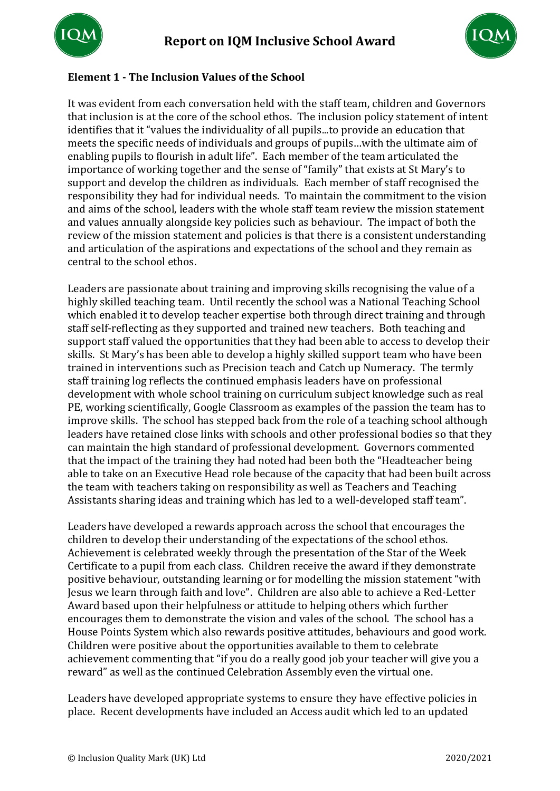



# **Element 1 - The Inclusion Values of the School**

It was evident from each conversation held with the staff team, children and Governors that inclusion is at the core of the school ethos. The inclusion policy statement of intent identifies that it "values the individuality of all pupils...to provide an education that meets the specific needs of individuals and groups of pupils…with the ultimate aim of enabling pupils to flourish in adult life". Each member of the team articulated the importance of working together and the sense of "family" that exists at St Mary's to support and develop the children as individuals. Each member of staff recognised the responsibility they had for individual needs. To maintain the commitment to the vision and aims of the school, leaders with the whole staff team review the mission statement and values annually alongside key policies such as behaviour. The impact of both the review of the mission statement and policies is that there is a consistent understanding and articulation of the aspirations and expectations of the school and they remain as central to the school ethos.

Leaders are passionate about training and improving skills recognising the value of a highly skilled teaching team. Until recently the school was a National Teaching School which enabled it to develop teacher expertise both through direct training and through staff self-reflecting as they supported and trained new teachers. Both teaching and support staff valued the opportunities that they had been able to access to develop their skills. St Mary's has been able to develop a highly skilled support team who have been trained in interventions such as Precision teach and Catch up Numeracy. The termly staff training log reflects the continued emphasis leaders have on professional development with whole school training on curriculum subject knowledge such as real PE, working scientifically, Google Classroom as examples of the passion the team has to improve skills. The school has stepped back from the role of a teaching school although leaders have retained close links with schools and other professional bodies so that they can maintain the high standard of professional development. Governors commented that the impact of the training they had noted had been both the "Headteacher being able to take on an Executive Head role because of the capacity that had been built across the team with teachers taking on responsibility as well as Teachers and Teaching Assistants sharing ideas and training which has led to a well-developed staff team".

Leaders have developed a rewards approach across the school that encourages the children to develop their understanding of the expectations of the school ethos. Achievement is celebrated weekly through the presentation of the Star of the Week Certificate to a pupil from each class. Children receive the award if they demonstrate positive behaviour, outstanding learning or for modelling the mission statement "with Jesus we learn through faith and love". Children are also able to achieve a Red-Letter Award based upon their helpfulness or attitude to helping others which further encourages them to demonstrate the vision and vales of the school. The school has a House Points System which also rewards positive attitudes, behaviours and good work. Children were positive about the opportunities available to them to celebrate achievement commenting that "if you do a really good job your teacher will give you a reward" as well as the continued Celebration Assembly even the virtual one.

Leaders have developed appropriate systems to ensure they have effective policies in place. Recent developments have included an Access audit which led to an updated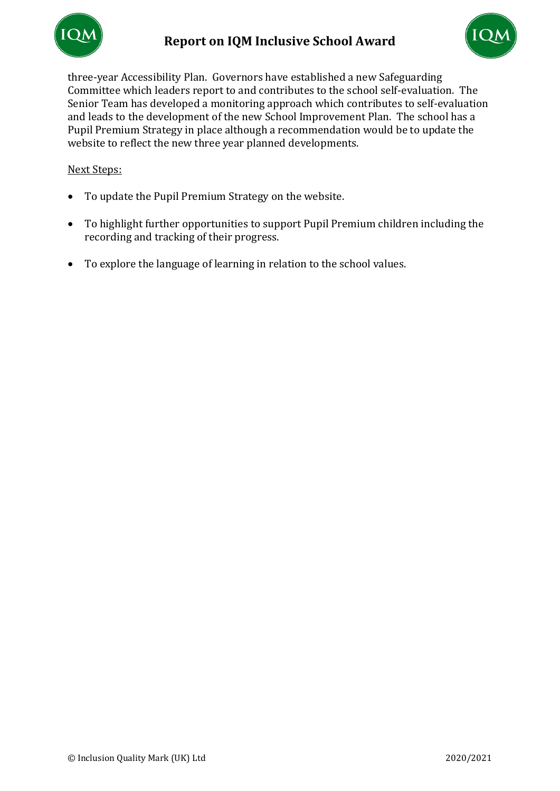



three-year Accessibility Plan. Governors have established a new Safeguarding Committee which leaders report to and contributes to the school self-evaluation. The Senior Team has developed a monitoring approach which contributes to self-evaluation and leads to the development of the new School Improvement Plan. The school has a Pupil Premium Strategy in place although a recommendation would be to update the website to reflect the new three year planned developments.

- To update the Pupil Premium Strategy on the website.
- To highlight further opportunities to support Pupil Premium children including the recording and tracking of their progress.
- To explore the language of learning in relation to the school values.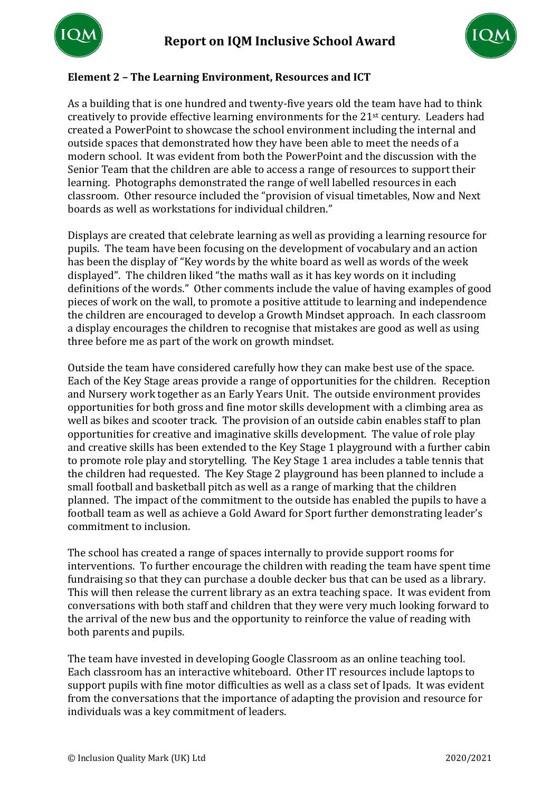



# **Element 2 – The Learning Environment, Resources and ICT**

As a building that is one hundred and twenty-five years old the team have had to think creatively to provide effective learning environments for the 21st century. Leaders had created a PowerPoint to showcase the school environment including the internal and outside spaces that demonstrated how they have been able to meet the needs of a modern school. It was evident from both the PowerPoint and the discussion with the Senior Team that the children are able to access a range of resources to support their learning. Photographs demonstrated the range of well labelled resources in each classroom. Other resource included the "provision of visual timetables, Now and Next boards as well as workstations for individual children."

Displays are created that celebrate learning as well as providing a learning resource for pupils. The team have been focusing on the development of vocabulary and an action has been the display of "Key words by the white board as well as words of the week displayed". The children liked "the maths wall as it has key words on it including definitions of the words." Other comments include the value of having examples of good pieces of work on the wall, to promote a positive attitude to learning and independence the children are encouraged to develop a Growth Mindset approach. In each classroom a display encourages the children to recognise that mistakes are good as well as using three before me as part of the work on growth mindset.

Outside the team have considered carefully how they can make best use of the space. Each of the Key Stage areas provide a range of opportunities for the children. Reception and Nursery work together as an Early Years Unit. The outside environment provides opportunities for both gross and fine motor skills development with a climbing area as well as bikes and scooter track. The provision of an outside cabin enables staff to plan opportunities for creative and imaginative skills development. The value of role play and creative skills has been extended to the Key Stage 1 playground with a further cabin to promote role play and storytelling. The Key Stage 1 area includes a table tennis that the children had requested. The Key Stage 2 playground has been planned to include a small football and basketball pitch as well as a range of marking that the children planned. The impact of the commitment to the outside has enabled the pupils to have a football team as well as achieve a Gold Award for Sport further demonstrating leader's commitment to inclusion.

The school has created a range of spaces internally to provide support rooms for interventions. To further encourage the children with reading the team have spent time fundraising so that they can purchase a double decker bus that can be used as a library. This will then release the current library as an extra teaching space. It was evident from conversations with both staff and children that they were very much looking forward to the arrival of the new bus and the opportunity to reinforce the value of reading with both parents and pupils.

The team have invested in developing Google Classroom as an online teaching tool. Each classroom has an interactive whiteboard. Other IT resources include laptops to support pupils with fine motor difficulties as well as a class set of Ipads. It was evident from the conversations that the importance of adapting the provision and resource for individuals was a key commitment of leaders.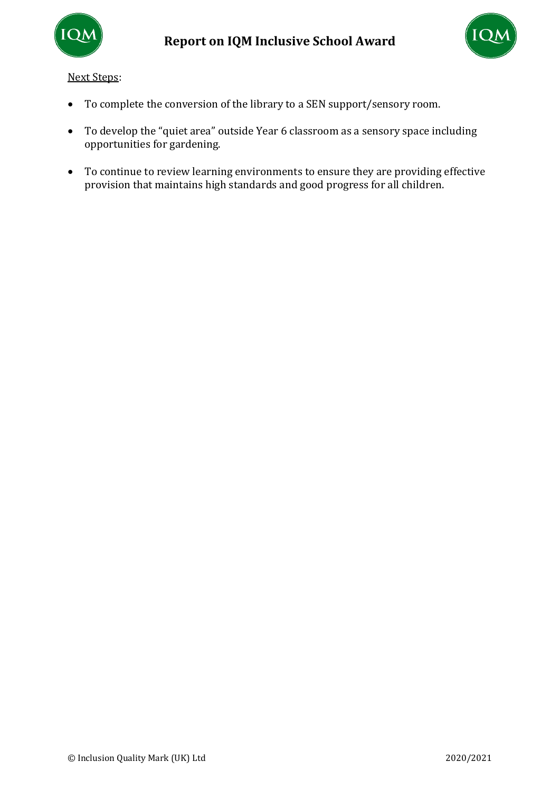



- To complete the conversion of the library to a SEN support/sensory room.
- To develop the "quiet area" outside Year 6 classroom as a sensory space including opportunities for gardening.
- To continue to review learning environments to ensure they are providing effective provision that maintains high standards and good progress for all children.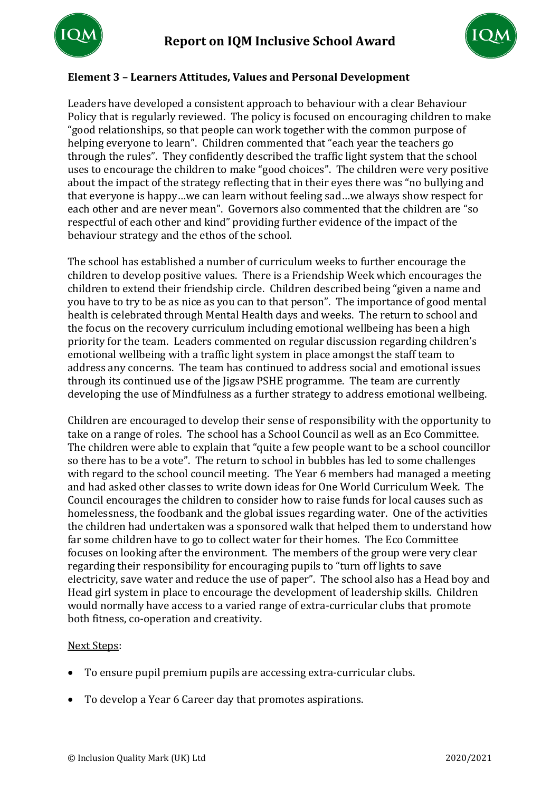



## **Element 3 – Learners Attitudes, Values and Personal Development**

Leaders have developed a consistent approach to behaviour with a clear Behaviour Policy that is regularly reviewed. The policy is focused on encouraging children to make "good relationships, so that people can work together with the common purpose of helping everyone to learn". Children commented that "each year the teachers go through the rules". They confidently described the traffic light system that the school uses to encourage the children to make "good choices". The children were very positive about the impact of the strategy reflecting that in their eyes there was "no bullying and that everyone is happy…we can learn without feeling sad…we always show respect for each other and are never mean". Governors also commented that the children are "so respectful of each other and kind" providing further evidence of the impact of the behaviour strategy and the ethos of the school.

The school has established a number of curriculum weeks to further encourage the children to develop positive values. There is a Friendship Week which encourages the children to extend their friendship circle. Children described being "given a name and you have to try to be as nice as you can to that person". The importance of good mental health is celebrated through Mental Health days and weeks. The return to school and the focus on the recovery curriculum including emotional wellbeing has been a high priority for the team. Leaders commented on regular discussion regarding children's emotional wellbeing with a traffic light system in place amongst the staff team to address any concerns. The team has continued to address social and emotional issues through its continued use of the Jigsaw PSHE programme. The team are currently developing the use of Mindfulness as a further strategy to address emotional wellbeing.

Children are encouraged to develop their sense of responsibility with the opportunity to take on a range of roles. The school has a School Council as well as an Eco Committee. The children were able to explain that "quite a few people want to be a school councillor so there has to be a vote". The return to school in bubbles has led to some challenges with regard to the school council meeting. The Year 6 members had managed a meeting and had asked other classes to write down ideas for One World Curriculum Week. The Council encourages the children to consider how to raise funds for local causes such as homelessness, the foodbank and the global issues regarding water. One of the activities the children had undertaken was a sponsored walk that helped them to understand how far some children have to go to collect water for their homes. The Eco Committee focuses on looking after the environment. The members of the group were very clear regarding their responsibility for encouraging pupils to "turn off lights to save electricity, save water and reduce the use of paper". The school also has a Head boy and Head girl system in place to encourage the development of leadership skills. Children would normally have access to a varied range of extra-curricular clubs that promote both fitness, co-operation and creativity.

- To ensure pupil premium pupils are accessing extra-curricular clubs.
- To develop a Year 6 Career day that promotes aspirations.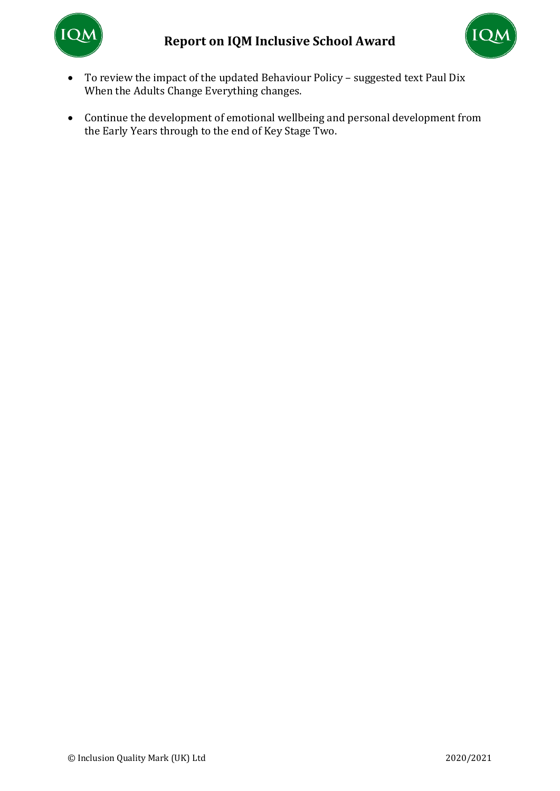



- To review the impact of the updated Behaviour Policy suggested text Paul Dix When the Adults Change Everything changes.
- Continue the development of emotional wellbeing and personal development from the Early Years through to the end of Key Stage Two.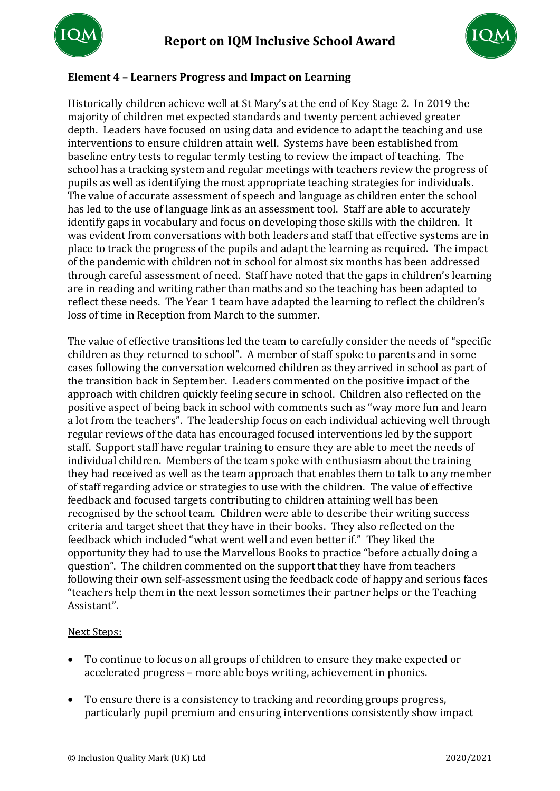



# **Element 4 – Learners Progress and Impact on Learning**

Historically children achieve well at St Mary's at the end of Key Stage 2. In 2019 the majority of children met expected standards and twenty percent achieved greater depth. Leaders have focused on using data and evidence to adapt the teaching and use interventions to ensure children attain well. Systems have been established from baseline entry tests to regular termly testing to review the impact of teaching. The school has a tracking system and regular meetings with teachers review the progress of pupils as well as identifying the most appropriate teaching strategies for individuals. The value of accurate assessment of speech and language as children enter the school has led to the use of language link as an assessment tool. Staff are able to accurately identify gaps in vocabulary and focus on developing those skills with the children. It was evident from conversations with both leaders and staff that effective systems are in place to track the progress of the pupils and adapt the learning as required. The impact of the pandemic with children not in school for almost six months has been addressed through careful assessment of need. Staff have noted that the gaps in children's learning are in reading and writing rather than maths and so the teaching has been adapted to reflect these needs. The Year 1 team have adapted the learning to reflect the children's loss of time in Reception from March to the summer.

The value of effective transitions led the team to carefully consider the needs of "specific children as they returned to school". A member of staff spoke to parents and in some cases following the conversation welcomed children as they arrived in school as part of the transition back in September. Leaders commented on the positive impact of the approach with children quickly feeling secure in school. Children also reflected on the positive aspect of being back in school with comments such as "way more fun and learn a lot from the teachers". The leadership focus on each individual achieving well through regular reviews of the data has encouraged focused interventions led by the support staff. Support staff have regular training to ensure they are able to meet the needs of individual children. Members of the team spoke with enthusiasm about the training they had received as well as the team approach that enables them to talk to any member of staff regarding advice or strategies to use with the children. The value of effective feedback and focused targets contributing to children attaining well has been recognised by the school team. Children were able to describe their writing success criteria and target sheet that they have in their books. They also reflected on the feedback which included "what went well and even better if." They liked the opportunity they had to use the Marvellous Books to practice "before actually doing a question". The children commented on the support that they have from teachers following their own self-assessment using the feedback code of happy and serious faces "teachers help them in the next lesson sometimes their partner helps or the Teaching Assistant".

- To continue to focus on all groups of children to ensure they make expected or accelerated progress – more able boys writing, achievement in phonics.
- To ensure there is a consistency to tracking and recording groups progress, particularly pupil premium and ensuring interventions consistently show impact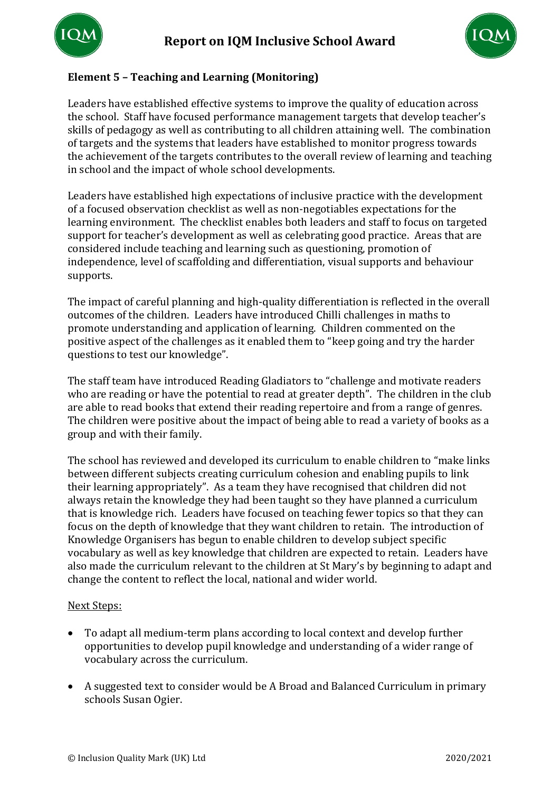



# **Element 5 – Teaching and Learning (Monitoring)**

Leaders have established effective systems to improve the quality of education across the school. Staff have focused performance management targets that develop teacher's skills of pedagogy as well as contributing to all children attaining well. The combination of targets and the systems that leaders have established to monitor progress towards the achievement of the targets contributes to the overall review of learning and teaching in school and the impact of whole school developments.

Leaders have established high expectations of inclusive practice with the development of a focused observation checklist as well as non-negotiables expectations for the learning environment. The checklist enables both leaders and staff to focus on targeted support for teacher's development as well as celebrating good practice. Areas that are considered include teaching and learning such as questioning, promotion of independence, level of scaffolding and differentiation, visual supports and behaviour supports.

The impact of careful planning and high-quality differentiation is reflected in the overall outcomes of the children. Leaders have introduced Chilli challenges in maths to promote understanding and application of learning. Children commented on the positive aspect of the challenges as it enabled them to "keep going and try the harder questions to test our knowledge".

The staff team have introduced Reading Gladiators to "challenge and motivate readers who are reading or have the potential to read at greater depth". The children in the club are able to read books that extend their reading repertoire and from a range of genres. The children were positive about the impact of being able to read a variety of books as a group and with their family.

The school has reviewed and developed its curriculum to enable children to "make links between different subjects creating curriculum cohesion and enabling pupils to link their learning appropriately". As a team they have recognised that children did not always retain the knowledge they had been taught so they have planned a curriculum that is knowledge rich. Leaders have focused on teaching fewer topics so that they can focus on the depth of knowledge that they want children to retain. The introduction of Knowledge Organisers has begun to enable children to develop subject specific vocabulary as well as key knowledge that children are expected to retain. Leaders have also made the curriculum relevant to the children at St Mary's by beginning to adapt and change the content to reflect the local, national and wider world.

- To adapt all medium-term plans according to local context and develop further opportunities to develop pupil knowledge and understanding of a wider range of vocabulary across the curriculum.
- A suggested text to consider would be A Broad and Balanced Curriculum in primary schools Susan Ogier.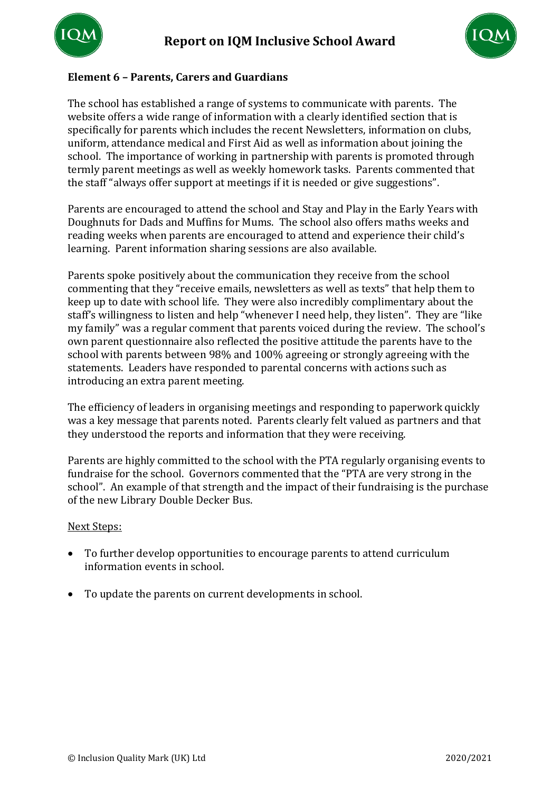



## **Element 6 – Parents, Carers and Guardians**

The school has established a range of systems to communicate with parents. The website offers a wide range of information with a clearly identified section that is specifically for parents which includes the recent Newsletters, information on clubs, uniform, attendance medical and First Aid as well as information about joining the school. The importance of working in partnership with parents is promoted through termly parent meetings as well as weekly homework tasks. Parents commented that the staff "always offer support at meetings if it is needed or give suggestions".

Parents are encouraged to attend the school and Stay and Play in the Early Years with Doughnuts for Dads and Muffins for Mums. The school also offers maths weeks and reading weeks when parents are encouraged to attend and experience their child's learning. Parent information sharing sessions are also available.

Parents spoke positively about the communication they receive from the school commenting that they "receive emails, newsletters as well as texts" that help them to keep up to date with school life. They were also incredibly complimentary about the staff's willingness to listen and help "whenever I need help, they listen". They are "like my family" was a regular comment that parents voiced during the review. The school's own parent questionnaire also reflected the positive attitude the parents have to the school with parents between 98% and 100% agreeing or strongly agreeing with the statements. Leaders have responded to parental concerns with actions such as introducing an extra parent meeting.

The efficiency of leaders in organising meetings and responding to paperwork quickly was a key message that parents noted. Parents clearly felt valued as partners and that they understood the reports and information that they were receiving.

Parents are highly committed to the school with the PTA regularly organising events to fundraise for the school. Governors commented that the "PTA are very strong in the school". An example of that strength and the impact of their fundraising is the purchase of the new Library Double Decker Bus.

- To further develop opportunities to encourage parents to attend curriculum information events in school.
- To update the parents on current developments in school.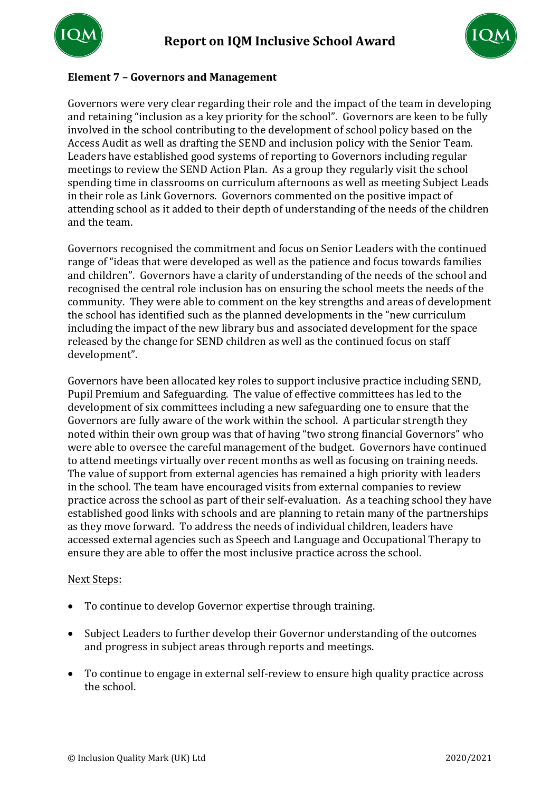



## **Element 7 – Governors and Management**

Governors were very clear regarding their role and the impact of the team in developing and retaining "inclusion as a key priority for the school". Governors are keen to be fully involved in the school contributing to the development of school policy based on the Access Audit as well as drafting the SEND and inclusion policy with the Senior Team. Leaders have established good systems of reporting to Governors including regular meetings to review the SEND Action Plan. As a group they regularly visit the school spending time in classrooms on curriculum afternoons as well as meeting Subject Leads in their role as Link Governors. Governors commented on the positive impact of attending school as it added to their depth of understanding of the needs of the children and the team.

Governors recognised the commitment and focus on Senior Leaders with the continued range of "ideas that were developed as well as the patience and focus towards families and children". Governors have a clarity of understanding of the needs of the school and recognised the central role inclusion has on ensuring the school meets the needs of the community. They were able to comment on the key strengths and areas of development the school has identified such as the planned developments in the "new curriculum including the impact of the new library bus and associated development for the space released by the change for SEND children as well as the continued focus on staff development".

Governors have been allocated key roles to support inclusive practice including SEND, Pupil Premium and Safeguarding. The value of effective committees has led to the development of six committees including a new safeguarding one to ensure that the Governors are fully aware of the work within the school. A particular strength they noted within their own group was that of having "two strong financial Governors" who were able to oversee the careful management of the budget. Governors have continued to attend meetings virtually over recent months as well as focusing on training needs. The value of support from external agencies has remained a high priority with leaders in the school. The team have encouraged visits from external companies to review practice across the school as part of their self-evaluation. As a teaching school they have established good links with schools and are planning to retain many of the partnerships as they move forward. To address the needs of individual children, leaders have accessed external agencies such as Speech and Language and Occupational Therapy to ensure they are able to offer the most inclusive practice across the school.

- To continue to develop Governor expertise through training.
- Subject Leaders to further develop their Governor understanding of the outcomes and progress in subject areas through reports and meetings.
- To continue to engage in external self-review to ensure high quality practice across the school.